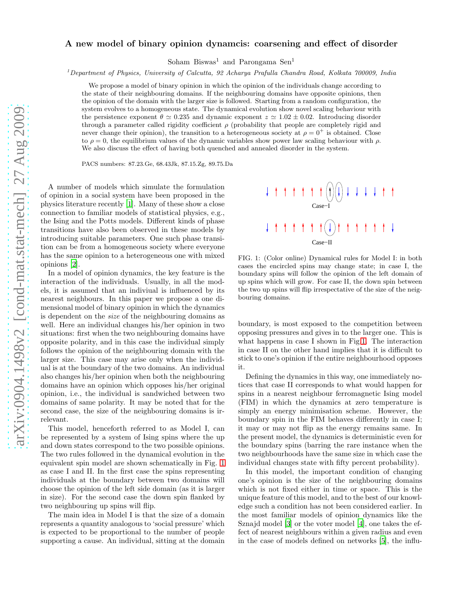## A new model of binary opinion dynamcis: coarsening and effect of disorder

Soham Biswas<sup>1</sup> and Parongama Sen<sup>1</sup>

 $1$ Department of Physics, University of Calcutta, 92 Acharya Prafulla Chandra Road, Kolkata 700009, India

We propose a model of binary opinion in which the opinion of the individuals change according to the state of their neighbouring domains. If the neighbouring domains have opposite opinions, then the opinion of the domain with the larger size is followed. Starting from a random configuration, the system evolves to a homogeneous state. The dynamical evolution show novel scaling behaviour with the persistence exponent  $\theta \simeq 0.235$  and dynamic exponent  $z \simeq 1.02 \pm 0.02$ . Introducing disorder through a parameter called rigidity coefficient  $\rho$  (probability that people are completely rigid and never change their opinion), the transition to a heterogeneous society at  $\rho = 0^+$  is obtained. Close to  $\rho = 0$ , the equilibrium values of the dynamic variables show power law scaling behaviour with  $\rho$ . We also discuss the effect of having both quenched and annealed disorder in the system.

PACS numbers: 87.23.Ge, 68.43Jk, 87.15.Zg, 89.75.Da

A number of models which simulate the formulation of opinion in a social system have been proposed in the physics literature recently [\[1](#page-3-0)]. Many of these show a close connection to familiar models of statistical physics, e.g., the Ising and the Potts models. Different kinds of phase transitions have also been observed in these models by introducing suitable parameters. One such phase transition can be from a homogeneous society where everyone has the same opinion to a heterogeneous one with mixed opinions [\[2](#page-3-1)].

In a model of opinion dynamics, the key feature is the interaction of the individuals. Usually, in all the models, it is assumed that an indiviual is influenced by its nearest neighbours. In this paper we propose a one dimensional model of binary opinion in which the dynamics is dependent on the size of the neighbouring domains as well. Here an individual changes his/her opinion in two situations: first when the two neighbouring domains have opposite polarity, and in this case the individual simply follows the opinion of the neighbouring domain with the larger size. This case may arise only when the individual is at the boundary of the two domains. An individual also changes his/her opinion when both the neighbouring domains have an opinion which opposes his/her original opinion, i.e., the individual is sandwiched between two domains of same polarity. It may be noted that for the second case, the size of the neighbouring domains is irrelevant.

This model, henceforth referred to as Model I, can be represented by a system of Ising spins where the up and down states correspond to the two possible opinions. The two rules followed in the dynamical evolution in the equivalent spin model are shown schematically in Fig. [1](#page-0-0) as case I and II. In the first case the spins representing individuals at the boundary between two domains will choose the opinion of the left side domain (as it is larger in size). For the second case the down spin flanked by two neighbouring up spins will flip.

The main idea in Model I is that the size of a domain represents a quantity analogous to 'social pressure' which is expected to be proportional to the number of people supporting a cause. An individual, sitting at the domain



<span id="page-0-0"></span>FIG. 1: (Color online) Dynamical rules for Model I: in both cases the encircled spins may change state; in case I, the boundary spins will follow the opinion of the left domain of up spins which will grow. For case II, the down spin between the two up spins will flip irrespectative of the size of the neigbouring domains.

boundary, is most exposed to the competition between opposing pressures and gives in to the larger one. This is what happens in case I shown in Fig[.1.](#page-0-0) The interaction in case II on the other hand implies that it is difficult to stick to one's opinion if the entire neighbourhood opposes it.

Defining the dynamics in this way, one immediately notices that case II corresponds to what would happen for spins in a nearest neighbour ferromagnetic Ising model (FIM) in which the dynamics at zero temperature is simply an energy minimisation scheme. However, the boundary spin in the FIM behaves differently in case I; it may or may not flip as the energy remains same. In the present model, the dynamics is deterministic even for the boundary spins (barring the rare instance when the two neighbourhoods have the same size in which case the individual changes state with fifty percent probability).

In this model, the important condition of changing one's opinion is the size of the neighbouring domains which is not fixed either in time or space. This is the unique feature of this model, and to the best of our knowledge such a condition has not been considered earlier. In the most familiar models of opinion dynamics like the Sznajd model [\[3\]](#page-3-2) or the voter model [\[4\]](#page-3-3), one takes the effect of nearest neighbours within a given radius and even in the case of models defined on networks [\[5\]](#page-3-4), the influ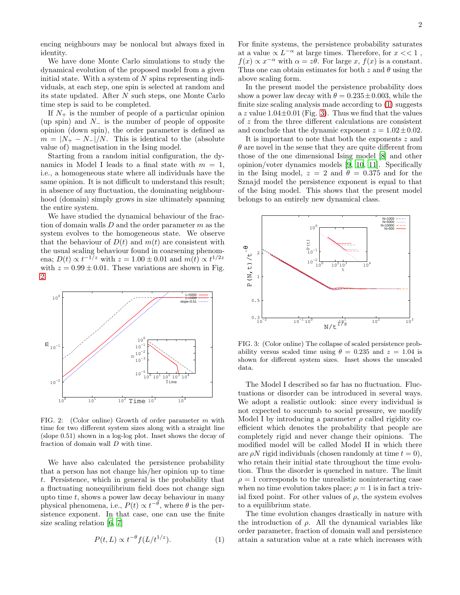encing neighbours may be nonlocal but always fixed in identity.

We have done Monte Carlo simulations to study the dynamical evolution of the proposed model from a given initial state. With a system of  $N$  spins representing individuals, at each step, one spin is selected at random and its state updated. After N such steps, one Monte Carlo time step is said to be completed.

If  $N_+$  is the number of people of a particular opinion (up spin) and  $N_-\$  is the number of people of opposite opinion (down spin), the order parameter is defined as  $m = |N_+ - N_-|/N$ . This is identical to the (absolute value of) magnetisation in the Ising model.

Starting from a random initial configuration, the dynamics in Model I leads to a final state with  $m = 1$ , i.e., a homogeneous state where all individuals have the same opinion. It is not difficult to understand this result; in absence of any fluctuation, the dominating neighbourhood (domain) simply grows in size ultimately spanning the entire system.

We have studied the dynamical behaviour of the fraction of domain walls  $D$  and the order parameter  $m$  as the system evolves to the homogeneous state. We observe that the behaviour of  $D(t)$  and  $m(t)$  are consistent with the usual scaling behaviour found in coarsening phenomena;  $D(t) \propto t^{-1/z}$  with  $z = 1.00 \pm 0.01$  and  $m(t) \propto t^{1/2z}$ with  $z = 0.99 \pm 0.01$ . These variations are shown in Fig. [2.](#page-1-0)



<span id="page-1-0"></span>FIG. 2: (Color online) Growth of order parameter m with time for two different system sizes along with a straight line (slope 0.51) shown in a log-log plot. Inset shows the decay of fraction of domain wall D with time.

We have also calculated the persistence probability that a person has not change his/her opinion up to time t. Persistence, which in general is the probability that a fluctuating nonequilibrium field does not change sign upto time  $t$ , shows a power law decay behaviour in many physical phenomena, i.e.,  $P(t) \propto t^{-\theta}$ , where  $\theta$  is the persistence exponent. In that case, one can use the finite size scaling relation [\[6,](#page-3-5) [7\]](#page-3-6)

<span id="page-1-1"></span>
$$
P(t, L) \propto t^{-\theta} f(L/t^{1/z}).\tag{1}
$$

For finite systems, the persistence probability saturates at a value  $\propto L^{-\alpha}$  at large times. Therefore, for  $x << 1$  ,  $f(x) \propto x^{-\alpha}$  with  $\alpha = z\theta$ . For large x,  $f(x)$  is a constant. Thus one can obtain estimates for both z and  $\theta$  using the above scaling form.

In the present model the persistence probability does show a power law decay with  $\theta = 0.235 \pm 0.003$ , while the finite size scaling analysis made according to [\(1\)](#page-1-1) suggests a z value  $1.04\pm0.01$  (Fig. [3\)](#page-1-2). Thus we find that the values of z from the three different calculations are consistent and conclude that the dynamic exponent  $z = 1.02 \pm 0.02$ .

It is important to note that both the exponents z and  $\theta$  are novel in the sense that they are quite different from those of the one dimensional Ising model [\[8](#page-3-7)] and other opinion/voter dynamics models [\[9](#page-3-8), [10](#page-3-9), [11](#page-3-10)]. Specifically in the Ising model,  $z = 2$  and  $\theta = 0.375$  and for the Sznajd model the persistence exponent is equal to that of the Ising model. This shows that the present model belongs to an entirely new dynamical class.



<span id="page-1-2"></span>FIG. 3: (Color online) The collapse of scaled persistence probability versus scaled time using  $\theta = 0.235$  and  $z = 1.04$  is shown for different system sizes. Inset shows the unscaled data.

The Model I described so far has no fluctuation. Fluctuations or disorder can be introduced in several ways. We adopt a realistic outlook: since every individual is not expected to succumb to social pressure, we modify Model I by introducing a parameter  $\rho$  called rigidity coefficient which denotes the probability that people are completely rigid and never change their opinions. The modified model will be called Model II in which there are  $\rho N$  rigid individuals (chosen randomly at time  $t = 0$ ), who retain their initial state throughout the time evolution. Thus the disorder is quenched in nature. The limit  $\rho = 1$  corresponds to the unrealistic noninteracting case when no time evolution takes place;  $\rho = 1$  is in fact a trivial fixed point. For other values of  $\rho$ , the system evolves to a equilibrium state.

The time evolution changes drastically in nature with the introduction of  $\rho$ . All the dynamical variables like order parameter, fraction of domain wall and persistence attain a saturation value at a rate which increases with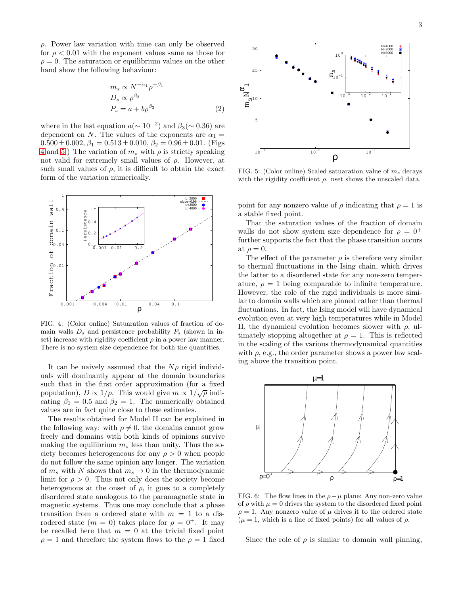$\rho$ . Power law variation with time can only be observed for  $\rho < 0.01$  with the exponent values same as those for  $\rho = 0$ . The saturation or equilibrium values on the other hand show the following behaviour:

$$
m_s \propto N^{-\alpha_1} \rho^{-\beta_1}
$$
  
\n
$$
D_s \propto \rho^{\beta_2}
$$
  
\n
$$
P_s = a + b\rho^{\beta_3}
$$
\n(2)

where in the last equation  $a(\sim 10^{-2})$  and  $\beta_3(\sim 0.36)$  are dependent on N. The values of the exponents are  $\alpha_1 =$  $0.500 \pm 0.002$ ,  $\beta_1 = 0.513 \pm 0.010$ ,  $\beta_2 = 0.96 \pm 0.01$ . (Figs [4](#page-2-0) and [5.](#page-2-1)) The variation of  $m_s$  with  $\rho$  is strictly speaking not valid for extremely small values of ρ. However, at such small values of  $\rho$ , it is difficult to obtain the exact form of the variation numerically.



<span id="page-2-0"></span>FIG. 4: (Color online) Satuaration values of fraction of domain walls  $D_s$  and persistence probability  $P_s$  (shown in inset) increase with rigidity coefficient  $\rho$  in a power law manner. There is no system size dependence for both the quantities.

It can be naively assumed that the  $N\rho$  rigid individuals will dominantly appear at the domain boundaries such that in the first order approximation (for a fixed population),  $D \propto 1/\rho$ . This would give  $m \propto 1/\sqrt{\rho}$  indicating  $\beta_1 = 0.5$  and  $\beta_2 = 1$ . The numerically obtained values are in fact quite close to these estimates.

The results obtained for Model II can be explained in the following way: with  $\rho \neq 0$ , the domains cannot grow freely and domains with both kinds of opinions survive making the equilibrium  $m_s$  less than unity. Thus the society becomes heterogeneous for any  $\rho > 0$  when people do not follow the same opinion any longer. The variation of  $m_s$  with N shows that  $m_s \to 0$  in the thermodynamic limit for  $\rho > 0$ . Thus not only does the society become heterogenous at the onset of  $\rho$ , it goes to a completely disordered state analogous to the paramagnetic state in magnetic systems. Thus one may conclude that a phase transition from a ordered state with  $m = 1$  to a disrodered state  $(m = 0)$  takes place for  $\rho = 0^+$ . It may be recalled here that  $m = 0$  at the trivial fixed point  $\rho = 1$  and therefore the system flows to the  $\rho = 1$  fixed



<span id="page-2-1"></span>FIG. 5: (Color online) Scaled satuaration value of  $m_s$  decays with the rigidity coefficient  $\rho$ . nset shows the unscaled data.

point for any nonzero value of  $\rho$  indicating that  $\rho = 1$  is a stable fixed point.

That the saturation values of the fraction of domain walls do not show system size dependence for  $\rho = 0^+$ further supports the fact that the phase transition occurs at  $\rho = 0$ .

The effect of the parameter  $\rho$  is therefore very similar to thermal fluctuations in the Ising chain, which drives the latter to a disordered state for any non-zero temperature,  $\rho = 1$  being comparable to infinite temperature. However, the role of the rigid individuals is more similar to domain walls which are pinned rather than thermal fluctuations. In fact, the Ising model will have dynamical evolution even at very high temperatures while in Model II, the dynamical evolution becomes slower with  $\rho$ , ultimately stopping altogether at  $\rho = 1$ . This is reflected in the scaling of the various thermodynamical quantities with  $\rho$ , e.g., the order parameter shows a power law scaling above the transition point.



<span id="page-2-2"></span>FIG. 6: The flow lines in the  $\rho - \mu$  plane: Any non-zero value of  $\rho$  with  $\mu = 0$  drives the system to the disordered fixed point  $\rho = 1$ . Any nonzero value of  $\mu$  drives it to the ordered state  $(\mu = 1, \text{ which is a line of fixed points})$  for all values of  $\rho$ .

Since the role of  $\rho$  is similar to domain wall pinning,